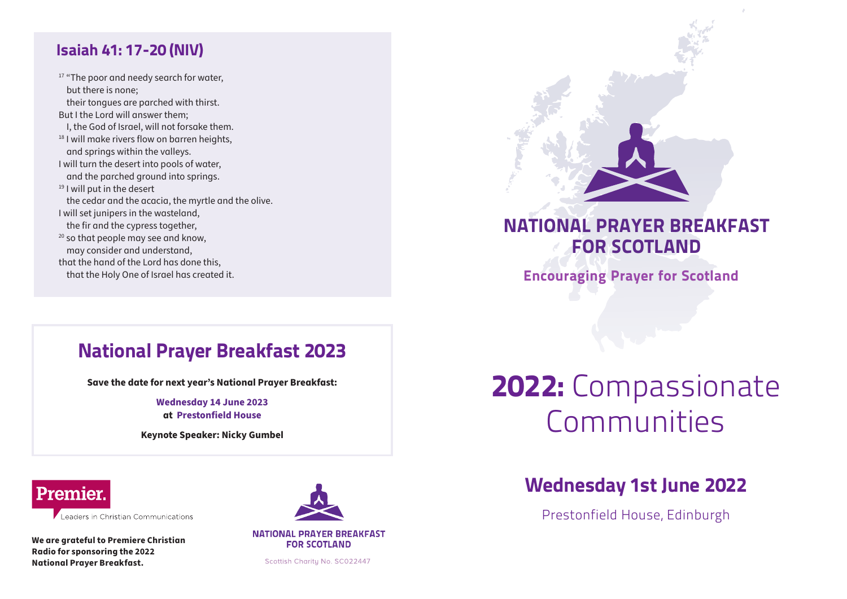#### Isaiah 41: 17-20 (NIV)

<sup>17</sup> "The poor and needy search for water, but there is none; their tongues are parched with thirst. But I the Lord will answer them; I, the God of Israel, will not forsake them. <sup>18</sup> I will make rivers flow on barren heights, and springs within the valleys. I will turn the desert into pools of water, and the parched ground into springs. <sup>19</sup> I will put in the desert the cedar and the acacia, the myrtle and the olive. I will set junipers in the wasteland, the fir and the cypress together, <sup>20</sup> so that people may see and know, may consider and understand, that the hand of the Lord has done this, that the Holy One of Israel has created it.



### NATIONAL PRAYER BREAKFAST FOR SCOTLAND

Encouraging Prayer for Scotland

### National Prayer Breakfast 2023

**Save the date for next year's National Prayer Breakfast:**

**Wednesday 14 June 2023 at Prestonfield House**

**Keynote Speaker: Nicky Gumbel**

### **Premier**

Leaders in Christian Communications

**We are grateful to Premiere Christian Radio for sponsoring the 2022 National Prayer Breakfast.**



**NATIONAL PRAYER BREAKFAST FOR SCOTLAND** 

Scottish Charity No. SC022447

# 2022: Compassionate Communities

### Wednesday 1st June 2022

Prestonfield House, Edinburgh